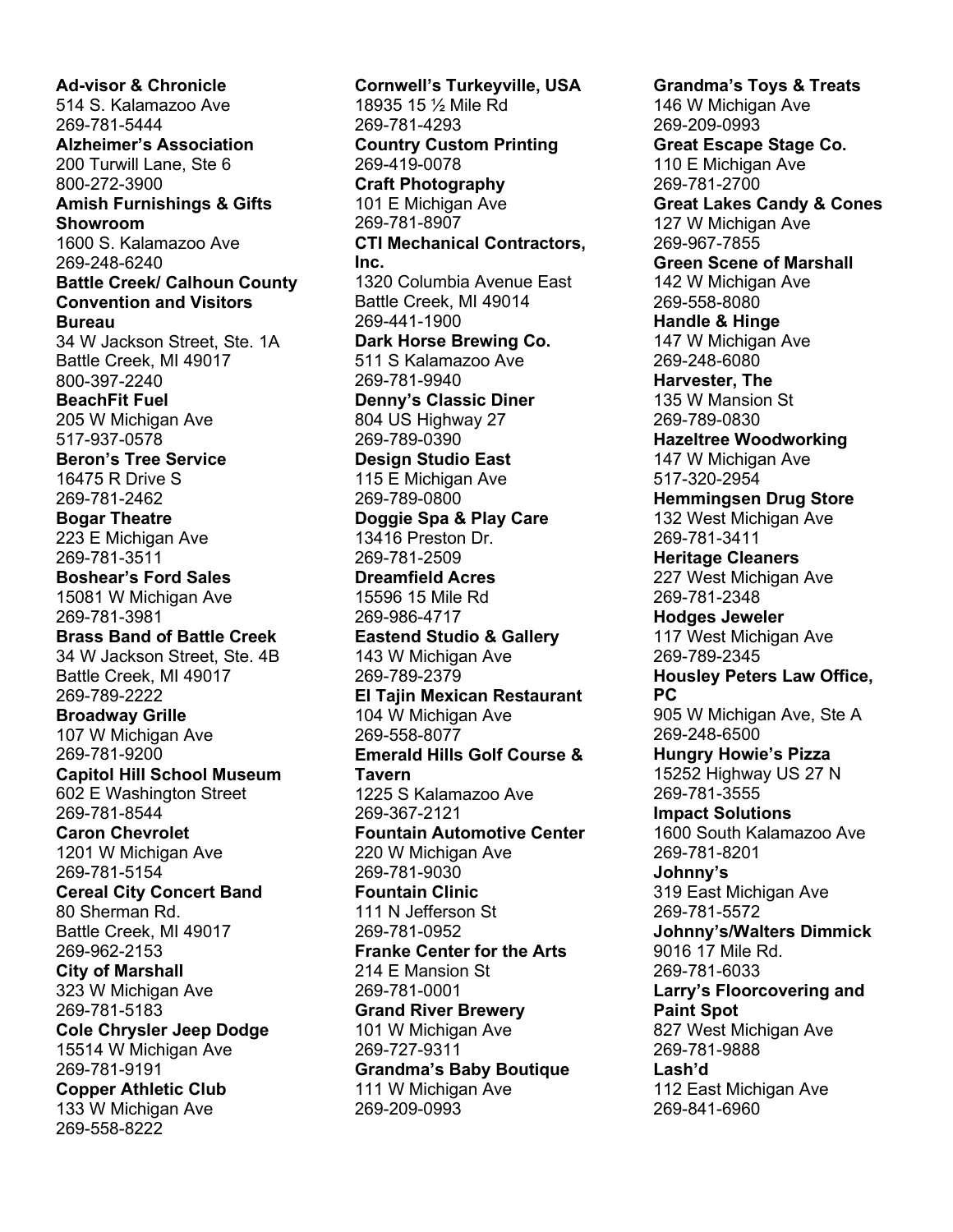**Ad-visor & Chronicle** 514 S. Kalamazoo Ave 269-781-5444 **Alzheimer's Association** 200 Turwill Lane, Ste 6 800-272-3900 **Amish Furnishings & Gifts Showroom** 1600 S. Kalamazoo Ave 269-248-6240 **Battle Creek/ Calhoun County Convention and Visitors Bureau**  34 W Jackson Street, Ste. 1A Battle Creek, MI 49017 800-397-2240 **BeachFit Fuel**  205 W Michigan Ave 517-937-0578 **Beron's Tree Service** 16475 R Drive S 269-781-2462 **Bogar Theatre**  223 E Michigan Ave 269-781-3511 **Boshear's Ford Sales**  15081 W Michigan Ave 269-781-3981 **Brass Band of Battle Creek** 34 W Jackson Street, Ste. 4B Battle Creek, MI 49017 269-789-2222 **Broadway Grille** 107 W Michigan Ave 269-781-9200 **Capitol Hill School Museum** 602 E Washington Street 269-781-8544 **Caron Chevrolet**  1201 W Michigan Ave 269-781-5154 **Cereal City Concert Band** 80 Sherman Rd. Battle Creek, MI 49017 269-962-2153 **City of Marshall** 323 W Michigan Ave 269-781-5183 **Cole Chrysler Jeep Dodge** 15514 W Michigan Ave 269-781-9191 **Copper Athletic Club** 133 W Michigan Ave 269-558-8222

**Cornwell's Turkeyville, USA** 18935 15 ½ Mile Rd 269-781-4293 **Country Custom Printing**  269-419-0078 **Craft Photography** 101 E Michigan Ave 269-781-8907 **CTI Mechanical Contractors, Inc.** 1320 Columbia Avenue East Battle Creek, MI 49014 269-441-1900 **Dark Horse Brewing Co.** 511 S Kalamazoo Ave 269-781-9940 **Denny's Classic Diner** 804 US Highway 27 269-789-0390 **Design Studio East** 115 E Michigan Ave 269-789-0800 **Doggie Spa & Play Care** 13416 Preston Dr. 269-781-2509 **Dreamfield Acres** 15596 15 Mile Rd 269-986-4717 **Eastend Studio & Gallery** 143 W Michigan Ave 269-789-2379 **El Tajin Mexican Restaurant**  104 W Michigan Ave 269-558-8077 **Emerald Hills Golf Course & Tavern** 1225 S Kalamazoo Ave 269-367-2121 **Fountain Automotive Center** 220 W Michigan Ave 269-781-9030 **Fountain Clinic** 111 N Jefferson St 269-781-0952 **Franke Center for the Arts** 214 E Mansion St 269-781-0001 **Grand River Brewery** 101 W Michigan Ave 269-727-9311 **Grandma's Baby Boutique** 111 W Michigan Ave 269-209-0993

**Grandma's Toys & Treats** 146 W Michigan Ave 269-209-0993 **Great Escape Stage Co.** 110 E Michigan Ave 269-781-2700 **Great Lakes Candy & Cones** 127 W Michigan Ave 269-967-7855 **Green Scene of Marshall** 142 W Michigan Ave 269-558-8080 **Handle & Hinge** 147 W Michigan Ave 269-248-6080 **Harvester, The** 135 W Mansion St 269-789-0830 **Hazeltree Woodworking**  147 W Michigan Ave 517-320-2954 **Hemmingsen Drug Store** 132 West Michigan Ave 269-781-3411 **Heritage Cleaners**  227 West Michigan Ave 269-781-2348 **Hodges Jeweler** 117 West Michigan Ave 269-789-2345 **Housley Peters Law Office, PC** 905 W Michigan Ave, Ste A 269-248-6500 **Hungry Howie's Pizza** 15252 Highway US 27 N 269-781-3555 **Impact Solutions** 1600 South Kalamazoo Ave 269-781-8201 **Johnny's** 319 East Michigan Ave 269-781-5572 **Johnny's/Walters Dimmick** 9016 17 Mile Rd. 269-781-6033 **Larry's Floorcovering and Paint Spot** 827 West Michigan Ave 269-781-9888 **Lash'd**  112 East Michigan Ave 269-841-6960